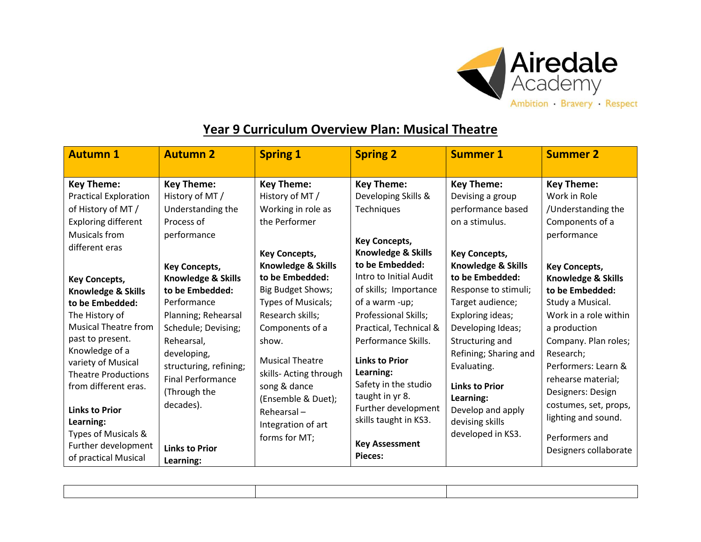

## **Year 9 Curriculum Overview Plan: Musical Theatre**

| <b>Autumn 1</b>                                                                                                                                                                                                                                                                                                                                                                                                                               | <b>Autumn 2</b>                                                                                                                                                                                                                                                                                                                      | <b>Spring 1</b>                                                                                                                                                                                                                                                                                                                                                                        | <b>Spring 2</b>                                                                                                                                                                                                                                                                                                                                                                                        | <b>Summer 1</b>                                                                                                                                                                                                                                                                                                                                                                                  | <b>Summer 2</b>                                                                                                                                                                                                                                                                                                                                                                                             |
|-----------------------------------------------------------------------------------------------------------------------------------------------------------------------------------------------------------------------------------------------------------------------------------------------------------------------------------------------------------------------------------------------------------------------------------------------|--------------------------------------------------------------------------------------------------------------------------------------------------------------------------------------------------------------------------------------------------------------------------------------------------------------------------------------|----------------------------------------------------------------------------------------------------------------------------------------------------------------------------------------------------------------------------------------------------------------------------------------------------------------------------------------------------------------------------------------|--------------------------------------------------------------------------------------------------------------------------------------------------------------------------------------------------------------------------------------------------------------------------------------------------------------------------------------------------------------------------------------------------------|--------------------------------------------------------------------------------------------------------------------------------------------------------------------------------------------------------------------------------------------------------------------------------------------------------------------------------------------------------------------------------------------------|-------------------------------------------------------------------------------------------------------------------------------------------------------------------------------------------------------------------------------------------------------------------------------------------------------------------------------------------------------------------------------------------------------------|
| <b>Key Theme:</b><br><b>Practical Exploration</b><br>of History of MT /<br><b>Exploring different</b><br>Musicals from<br>different eras<br><b>Key Concepts,</b><br><b>Knowledge &amp; Skills</b><br>to be Embedded:<br>The History of<br>Musical Theatre from<br>past to present.<br>Knowledge of a<br>variety of Musical<br><b>Theatre Productions</b><br>from different eras.<br><b>Links to Prior</b><br>Learning:<br>Types of Musicals & | <b>Key Theme:</b><br>History of MT /<br>Understanding the<br>Process of<br>performance<br><b>Key Concepts,</b><br>Knowledge & Skills<br>to be Embedded:<br>Performance<br>Planning; Rehearsal<br>Schedule; Devising;<br>Rehearsal,<br>developing,<br>structuring, refining;<br><b>Final Performance</b><br>(Through the<br>decades). | <b>Key Theme:</b><br>History of MT /<br>Working in role as<br>the Performer<br><b>Key Concepts,</b><br>Knowledge & Skills<br>to be Embedded:<br>Big Budget Shows;<br>Types of Musicals;<br>Research skills;<br>Components of a<br>show.<br><b>Musical Theatre</b><br>skills- Acting through<br>song & dance<br>(Ensemble & Duet);<br>Rehearsal-<br>Integration of art<br>forms for MT; | <b>Key Theme:</b><br>Developing Skills &<br>Techniques<br><b>Key Concepts,</b><br>Knowledge & Skills<br>to be Embedded:<br>Intro to Initial Audit<br>of skills; Importance<br>of a warm -up;<br>Professional Skills;<br>Practical, Technical &<br>Performance Skills.<br><b>Links to Prior</b><br>Learning:<br>Safety in the studio<br>taught in yr 8.<br>Further development<br>skills taught in KS3. | <b>Key Theme:</b><br>Devising a group<br>performance based<br>on a stimulus.<br><b>Key Concepts,</b><br>Knowledge & Skills<br>to be Embedded:<br>Response to stimuli;<br>Target audience;<br>Exploring ideas;<br>Developing Ideas;<br>Structuring and<br>Refining; Sharing and<br>Evaluating.<br><b>Links to Prior</b><br>Learning:<br>Develop and apply<br>devising skills<br>developed in KS3. | <b>Key Theme:</b><br>Work in Role<br>/Understanding the<br>Components of a<br>performance<br><b>Key Concepts,</b><br><b>Knowledge &amp; Skills</b><br>to be Embedded:<br>Study a Musical.<br>Work in a role within<br>a production<br>Company. Plan roles;<br>Research:<br>Performers: Learn &<br>rehearse material;<br>Designers: Design<br>costumes, set, props,<br>lighting and sound.<br>Performers and |
| Further development<br>of practical Musical                                                                                                                                                                                                                                                                                                                                                                                                   | <b>Links to Prior</b><br>Learning:                                                                                                                                                                                                                                                                                                   |                                                                                                                                                                                                                                                                                                                                                                                        | <b>Key Assessment</b><br><b>Pieces:</b>                                                                                                                                                                                                                                                                                                                                                                |                                                                                                                                                                                                                                                                                                                                                                                                  | Designers collaborate                                                                                                                                                                                                                                                                                                                                                                                       |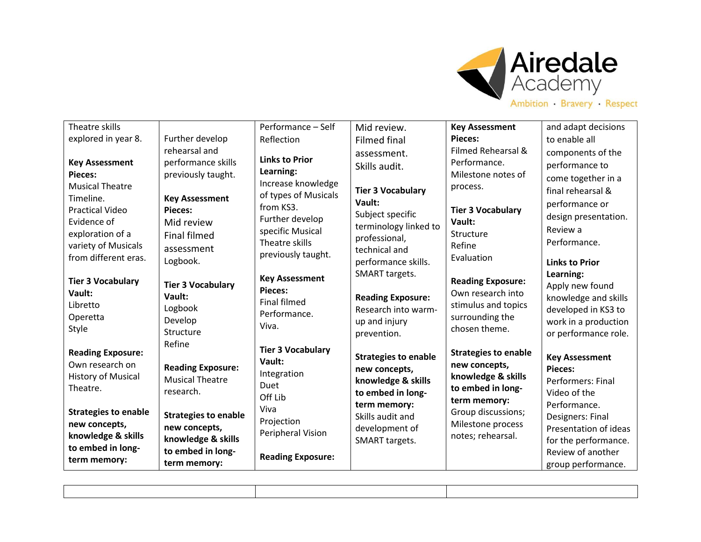

| Theatre skills                        |                                     | Performance - Self              | Mid review.                 | <b>Key Assessment</b>              | and adapt decisions          |
|---------------------------------------|-------------------------------------|---------------------------------|-----------------------------|------------------------------------|------------------------------|
| explored in year 8.                   | Further develop                     | Reflection                      | <b>Filmed final</b>         | Pieces:                            | to enable all                |
|                                       | rehearsal and                       |                                 | assessment.                 | Filmed Rehearsal &                 | components of the            |
| <b>Key Assessment</b>                 | performance skills                  | <b>Links to Prior</b>           | Skills audit.               | Performance.                       | performance to               |
| <b>Pieces:</b>                        | previously taught.                  | Learning:<br>Increase knowledge |                             | Milestone notes of                 | come together in a           |
| <b>Musical Theatre</b>                |                                     | of types of Musicals            | <b>Tier 3 Vocabulary</b>    | process.                           | final rehearsal &            |
| Timeline.                             | <b>Key Assessment</b>               | from KS3.                       | Vault:                      |                                    | performance or               |
| <b>Practical Video</b><br>Evidence of | <b>Pieces:</b><br>Mid review        | Further develop                 | Subject specific            | <b>Tier 3 Vocabulary</b><br>Vault: | design presentation.         |
| exploration of a                      | <b>Final filmed</b>                 | specific Musical                | terminology linked to       | Structure                          | Review a                     |
| variety of Musicals                   |                                     | Theatre skills                  | professional,               | Refine                             | Performance.                 |
| from different eras.                  | assessment                          | previously taught.              | technical and               | Evaluation                         |                              |
|                                       | Logbook.                            |                                 | performance skills.         |                                    | <b>Links to Prior</b>        |
| <b>Tier 3 Vocabulary</b>              | <b>Tier 3 Vocabulary</b>            | <b>Key Assessment</b>           | SMART targets.              | <b>Reading Exposure:</b>           | Learning:<br>Apply new found |
| Vault:                                | Vault:                              | <b>Pieces:</b>                  | <b>Reading Exposure:</b>    | Own research into                  | knowledge and skills         |
| Libretto                              | Logbook                             | <b>Final filmed</b>             | Research into warm-         | stimulus and topics                | developed in KS3 to          |
| Operetta                              | Develop                             | Performance.                    | up and injury               | surrounding the                    | work in a production         |
| Style                                 | Structure                           | Viva.                           | prevention.                 | chosen theme.                      | or performance role.         |
|                                       | Refine                              | <b>Tier 3 Vocabulary</b>        |                             |                                    |                              |
| <b>Reading Exposure:</b>              |                                     | Vault:                          | <b>Strategies to enable</b> | <b>Strategies to enable</b>        | <b>Key Assessment</b>        |
| Own research on                       | <b>Reading Exposure:</b>            | Integration                     | new concepts,               | new concepts,                      | <b>Pieces:</b>               |
| <b>History of Musical</b><br>Theatre. | <b>Musical Theatre</b>              | Duet                            | knowledge & skills          | knowledge & skills                 | Performers: Final            |
|                                       | research.                           | Off Lib                         | to embed in long-           | to embed in long-<br>term memory:  | Video of the                 |
| <b>Strategies to enable</b>           |                                     | Viva                            | term memory:                | Group discussions;                 | Performance.                 |
| new concepts,                         | <b>Strategies to enable</b>         | Projection                      | Skills audit and            | Milestone process                  | Designers: Final             |
| knowledge & skills                    | new concepts,<br>knowledge & skills | Peripheral Vision               | development of              | notes; rehearsal.                  | Presentation of ideas        |
| to embed in long-                     | to embed in long-                   |                                 | SMART targets.              |                                    | for the performance.         |
| term memory:                          | term memory:                        | <b>Reading Exposure:</b>        |                             |                                    | Review of another            |
|                                       |                                     |                                 |                             |                                    | group performance.           |